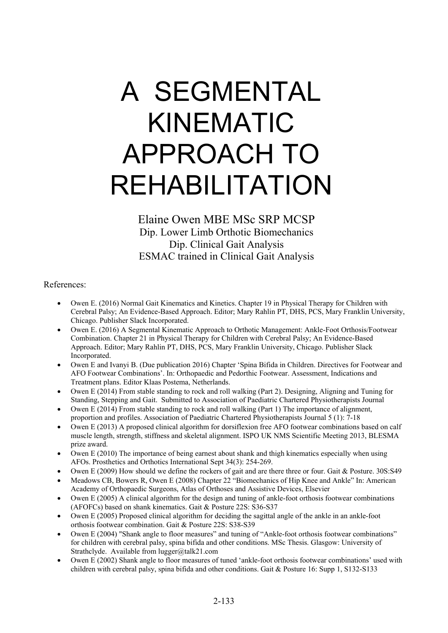Elaine Owen MBE MSc SRP MCSP Dip. Lower Limb Orthotic Biomechanics Dip. Clinical Gait Analysis ESMAC trained in Clinical Gait Analysis

References:

- Owen E. (2016) Normal Gait Kinematics and Kinetics. Chapter 19 in Physical Therapy for Children with Cerebral Palsy; An Evidence-Based Approach. Editor; Mary Rahlin PT, DHS, PCS, Mary Franklin University, Chicago. Publisher Slack Incorporated.
- Owen E. (2016) A Segmental Kinematic Approach to Orthotic Management: Ankle-Foot Orthosis/Footwear Combination. Chapter 21 in Physical Therapy for Children with Cerebral Palsy; An Evidence-Based Approach. Editor; Mary Rahlin PT, DHS, PCS, Mary Franklin University, Chicago. Publisher Slack Incorporated.
- Owen E and Ivanyi B. (Due publication 2016) Chapter 'Spina Bifida in Children. Directives for Footwear and AFO Footwear Combinations'. In: Orthopaedic and Pedorthic Footwear. Assessment, Indications and Treatment plans. Editor Klaas Postema, Netherlands.
- Owen E (2014) From stable standing to rock and roll walking (Part 2). Designing, Aligning and Tuning for Standing, Stepping and Gait. Submitted to Association of Paediatric Chartered Physiotherapists Journal
- Owen E (2014) From stable standing to rock and roll walking (Part 1) The importance of alignment, proportion and profiles. Association of Paediatric Chartered Physiotherapists Journal 5 (1): 7-18
- Owen E (2013) A proposed clinical algorithm for dorsiflexion free AFO footwear combinations based on calf muscle length, strength, stiffness and skeletal alignment. ISPO UK NMS Scientific Meeting 2013, BLESMA prize award.
- Owen E (2010) The importance of being earnest about shank and thigh kinematics especially when using AFOs. Prosthetics and Orthotics International Sept 34(3): 254-269.
- Owen E (2009) How should we define the rockers of gait and are there three or four. Gait & Posture. 30S:S49
- Meadows CB, Bowers R, Owen E (2008) Chapter 22 "Biomechanics of Hip Knee and Ankle" In: American Academy of Orthopaedic Surgeons, Atlas of Orthoses and Assistive Devices, Elsevier
- Owen E (2005) A clinical algorithm for the design and tuning of ankle-foot orthosis footwear combinations (AFOFCs) based on shank kinematics. Gait & Posture 22S: S36-S37
- Owen E (2005) Proposed clinical algorithm for deciding the sagittal angle of the ankle in an ankle-foot orthosis footwear combination. Gait & Posture 22S: S38-S39
- Owen E (2004) "Shank angle to floor measures" and tuning of "Ankle-foot orthosis footwear combinations" for children with cerebral palsy, spina bifida and other conditions. MSc Thesis. Glasgow: University of Strathclyde. Available from lugger@talk21.com
- Owen E (2002) Shank angle to floor measures of tuned 'ankle-foot orthosis footwear combinations' used with children with cerebral palsy, spina bifida and other conditions. Gait & Posture 16: Supp 1, S132-S133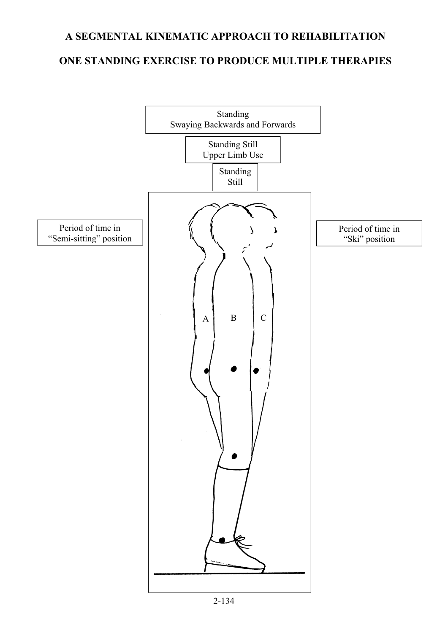#### **ONE STANDING EXERCISE TO PRODUCE MULTIPLE THERAPIES**

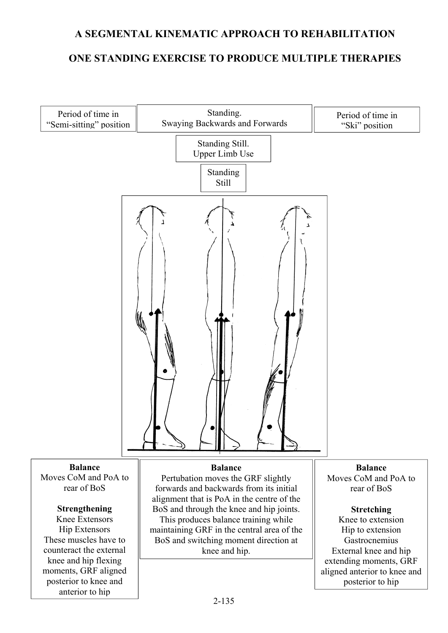#### **ONE STANDING EXERCISE TO PRODUCE MULTIPLE THERAPIES**

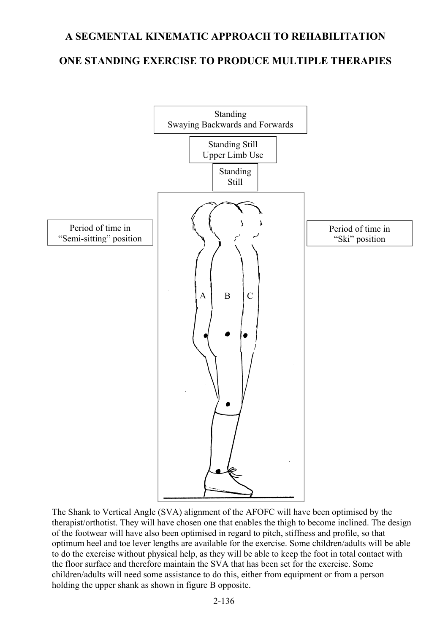#### **ONE STANDING EXERCISE TO PRODUCE MULTIPLE THERAPIES**



The Shank to Vertical Angle (SVA) alignment of the AFOFC will have been optimised by the therapist/orthotist. They will have chosen one that enables the thigh to become inclined. The design of the footwear will have also been optimised in regard to pitch, stiffness and profile, so that optimum heel and toe lever lengths are available for the exercise. Some children/adults will be able to do the exercise without physical help, as they will be able to keep the foot in total contact with the floor surface and therefore maintain the SVA that has been set for the exercise. Some children/adults will need some assistance to do this, either from equipment or from a person holding the upper shank as shown in figure B opposite.